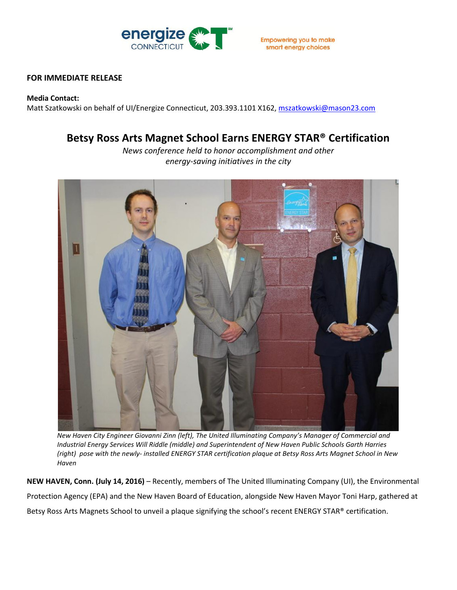

## **FOR IMMEDIATE RELEASE**

## **Media Contact:**

Matt Szatkowski on behalf of UI/Energize Connecticut, 203.393.1101 X162, [mszatkowski@mason23.com](mailto:mszatkowski@mason23.com)

## **Betsy Ross Arts Magnet School Earns ENERGY STAR® Certification**

*News conference held to honor accomplishment and other energy-saving initiatives in the city*



*New Haven City Engineer Giovanni Zinn (left), The United Illuminating Company's Manager of Commercial and Industrial Energy Services Will Riddle (middle) and Superintendent of New Haven Public Schools Garth Harries (right) pose with the newly- installed ENERGY STAR certification plaque at Betsy Ross Arts Magnet School in New Haven* 

**NEW HAVEN, Conn. (July 14, 2016)** – Recently, members of The United Illuminating Company (UI), the Environmental Protection Agency (EPA) and the New Haven Board of Education, alongside New Haven Mayor Toni Harp, gathered at Betsy Ross Arts Magnets School to unveil a plaque signifying the school's recent ENERGY STAR® certification.